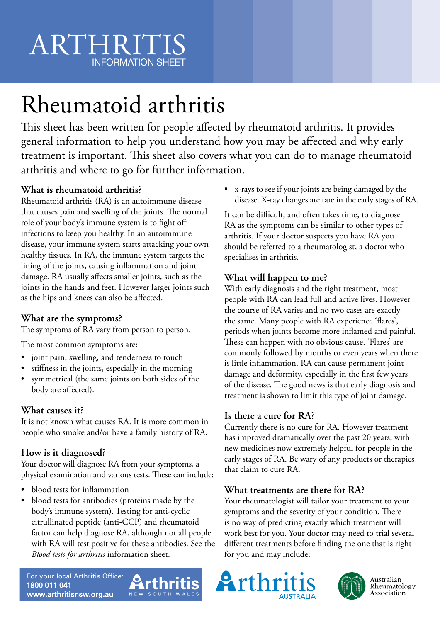# ARTHRITIS INFORMATION SHEET

# Rheumatoid arthritis

This sheet has been written for people affected by rheumatoid arthritis. It provides general information to help you understand how you may be affected and why early treatment is important. This sheet also covers what you can do to manage rheumatoid arthritis and where to go for further information.

## **What is rheumatoid arthritis?**

Rheumatoid arthritis (RA) is an autoimmune disease that causes pain and swelling of the joints. The normal role of your body's immune system is to fight off infections to keep you healthy. In an autoimmune disease, your immune system starts attacking your own healthy tissues. In RA, the immune system targets the lining of the joints, causing inflammation and joint damage. RA usually affects smaller joints, such as the joints in the hands and feet. However larger joints such as the hips and knees can also be affected.

#### **What are the symptoms?**

The symptoms of RA vary from person to person.

The most common symptoms are:

- joint pain, swelling, and tenderness to touch
- stiffness in the joints, especially in the morning
- symmetrical (the same joints on both sides of the body are affected).

#### **What causes it?**

It is not known what causes RA. It is more common in people who smoke and/or have a family history of RA.

## **How is it diagnosed?**

Your doctor will diagnose RA from your symptoms, a physical examination and various tests. These can include:

- blood tests for inflammation
- blood tests for antibodies (proteins made by the body's immune system). Testing for anti-cyclic citrullinated peptide (anti-CCP) and rheumatoid factor can help diagnose RA, although not all people with RA will test positive for these antibodies. See the *Blood tests for arthritis* information sheet.

• x-rays to see if your joints are being damaged by the disease. X-ray changes are rare in the early stages of RA.

It can be difficult, and often takes time, to diagnose RA as the symptoms can be similar to other types of arthritis. If your doctor suspects you have RA you should be referred to a rheumatologist, a doctor who specialises in arthritis.

## **What will happen to me?**

With early diagnosis and the right treatment, most people with RA can lead full and active lives. However the course of RA varies and no two cases are exactly the same. Many people with RA experience 'flares', periods when joints become more inflamed and painful. These can happen with no obvious cause. 'Flares' are commonly followed by months or even years when there is little inflammation. RA can cause permanent joint damage and deformity, especially in the first few years of the disease. The good news is that early diagnosis and treatment is shown to limit this type of joint damage.

#### **Is there a cure for RA?**

Currently there is no cure for RA. However treatment has improved dramatically over the past 20 years, with new medicines now extremely helpful for people in the early stages of RA. Be wary of any products or therapies that claim to cure RA.

#### **What treatments are there for RA?**

Your rheumatologist will tailor your treatment to your symptoms and the severity of your condition. There is no way of predicting exactly which treatment will work best for you. Your doctor may need to trial several different treatments before finding the one that is right for you and may include:







Australian<br>Rheumatology Association